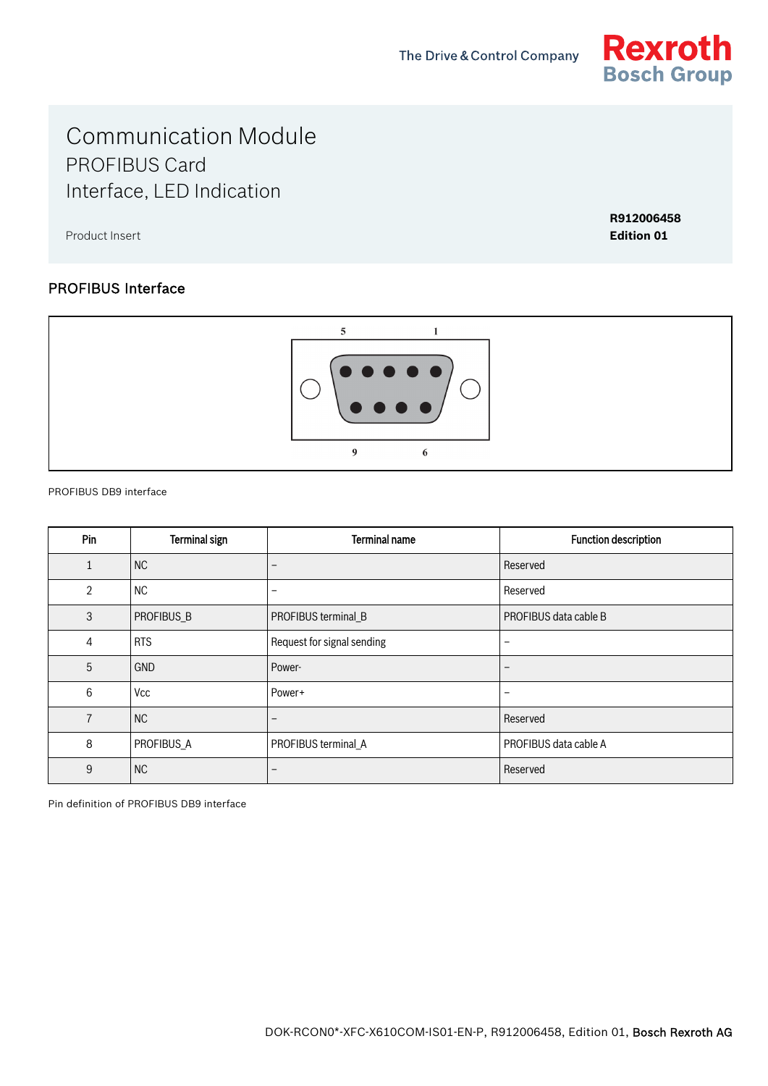

# Communication Module PROFIBUS Card Interface, LED Indication

Product Insert

**R912006458 Edition 01**

### PROFIBUS Interface



PROFIBUS DB9 interface

| Pin            | <b>Terminal sign</b> | <b>Terminal name</b>       | <b>Function description</b> |
|----------------|----------------------|----------------------------|-----------------------------|
| 1              | NC                   | $\overline{\phantom{m}}$   | Reserved                    |
| 2              | <b>NC</b>            | $\overline{\phantom{m}}$   | Reserved                    |
| 3              | PROFIBUS_B           | PROFIBUS terminal_B        | PROFIBUS data cable B       |
| 4              | <b>RTS</b>           | Request for signal sending | $\qquad \qquad -$           |
| 5              | <b>GND</b>           | Power-                     | $\qquad \qquad -$           |
| 6              | Vcc                  | Power+                     | $\qquad \qquad -$           |
| $\overline{7}$ | <b>NC</b>            | $\overline{\phantom{a}}$   | Reserved                    |
| 8              | PROFIBUS_A           | PROFIBUS terminal_A        | PROFIBUS data cable A       |
| 9              | <b>NC</b>            | $\overline{\phantom{a}}$   | Reserved                    |

Pin definition of PROFIBUS DB9 interface